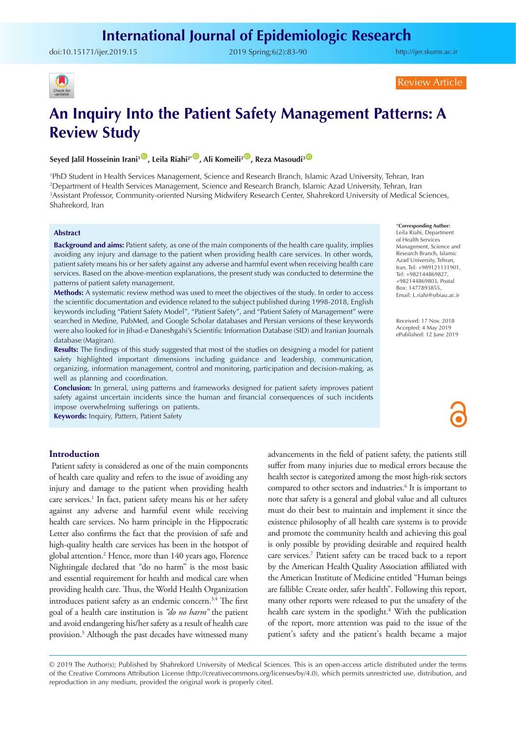doi:[10.15171/ijer.2019.15](https://doi.org/10.15171/ijer.2019.15) 2019 Spring;6(2):83-90

<http://ijer.skums.ac.ir>



Review Article

# **An Inquiry Into the Patient Safety Management Patterns: A Review Study**

# Seyed Jalil Hosseinin Irani<sup>1<sup>®</sup>, Leila Riahi<sup>2\*®</sup>, Ali Komeili<sup>2®</sup>, Reza Masoudi<sup>3®</sup></sup>

 PhD Student in Health Services Management, Science and Research Branch, Islamic Azad University, Tehran, Iran Department of Health Services Management, Science and Research Branch, Islamic Azad University, Tehran, Iran Assistant Professor, Community-oriented Nursing Midwifery Research Center, Shahrekord University of Medical Sciences, Shahrekord, Iran

#### **Abstract**

**Background and aims:** Patient safety, as one of the main components of the health care quality, implies avoiding any injury and damage to the patient when providing health care services. In other words, patient safety means his or her safety against any adverse and harmful event when receiving health care services. Based on the above-mention explanations, the present study was conducted to determine the patterns of patient safety management.

**Methods:** A systematic review method was used to meet the objectives of the study. In order to access the scientific documentation and evidence related to the subject published during 1998-2018, English keywords including "Patient Safety Model", "Patient Safety", and "Patient Safety of Management" were searched in Medine, PubMed, and Google Scholar databases and Persian versions of these keywords were also looked for in Jihad-e Daneshgahi's Scientific Information Database (SID) and Iranian Journals database (Magiran).

**Results:** The findings of this study suggested that most of the studies on designing a model for patient safety highlighted important dimensions including guidance and leadership, communication, organizing, information management, control and monitoring, participation and decision-making, as well as planning and coordination.

**Conclusion:** In general, using patterns and frameworks designed for patient safety improves patient safety against uncertain incidents since the human and financial consequences of such incidents impose overwhelming sufferings on patients.

**Keywords:** Inquiry, Pattern, Patient Safety

#### \***Corresponding Author:** Leila Riahi, Department

of Health Services Management, Science and Research Branch, Islamic Azad University, Tehran, Iran, Tel: +989121131901, Tel: +982144869827, +982144869803, Postal Box: 1477893855, Email: L.riahi@srbiau.ac.ir

Received: 17 Nov. 2018 Accepted: 4 May 2019 ePublished: 12 June 2019

#### **Introduction**

Patient safety is considered as one of the main components of health care quality and refers to the issue of avoiding any injury and damage to the patient when providing health care services.<sup>1</sup> In fact, patient safety means his or her safety against any adverse and harmful event while receiving health care services. No harm principle in the Hippocratic Letter also confirms the fact that the provision of safe and high-quality health care services has been in the hotspot of global attention.2 Hence, more than 140 years ago, Florence Nightingale declared that "do no harm" is the most basic and essential requirement for health and medical care when providing health care. Thus, the World Health Organization introduces patient safety as an endemic concern.3,4 The first goal of a health care institution is *"do no harm"* the patient and avoid endangering his/her safety as a result of health care provision.5 Although the past decades have witnessed many advancements in the field of patient safety, the patients still suffer from many injuries due to medical errors because the health sector is categorized among the most high-risk sectors compared to other sectors and industries.<sup>6</sup> It is important to note that safety is a general and global value and all cultures must do their best to maintain and implement it since the existence philosophy of all health care systems is to provide and promote the community health and achieving this goal is only possible by providing desirable and required health care services.7 Patient safety can be traced back to a report by the American Health Quality Association affiliated with the American Institute of Medicine entitled "Human beings are fallible: Create order, safer health". Following this report, many other reports were released to put the unsafety of the health care system in the spotlight.<sup>8</sup> With the publication of the report, more attention was paid to the issue of the patient's safety and the patient's health became a major

© 2019 The Author(s); Published by Shahrekord University of Medical Sciences. This is an open-access article distributed under the terms of the Creative Commons Attribution License (http://creativecommons.org/licenses/by/4.0), which permits unrestricted use, distribution, and reproduction in any medium, provided the original work is properly cited.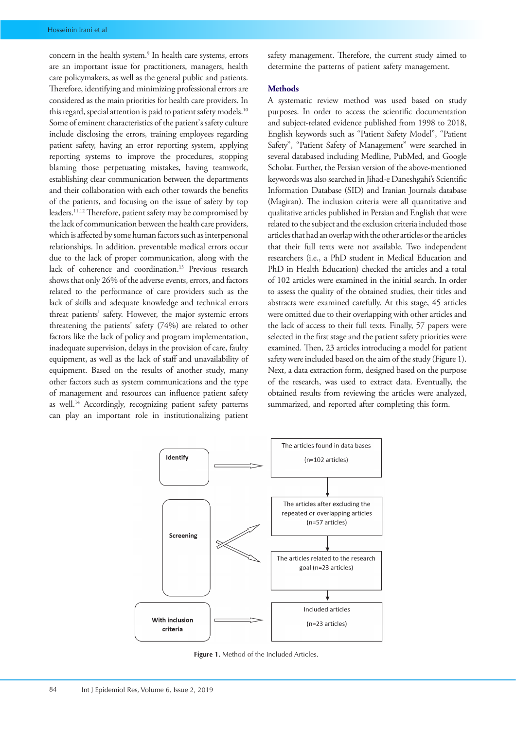concern in the health system.<sup>9</sup> In health care systems, errors are an important issue for practitioners, managers, health care policymakers, as well as the general public and patients. Therefore, identifying and minimizing professional errors are considered as the main priorities for health care providers. In this regard, special attention is paid to patient safety models.<sup>10</sup> Some of eminent characteristics of the patient's safety culture include disclosing the errors, training employees regarding patient safety, having an error reporting system, applying reporting systems to improve the procedures, stopping blaming those perpetuating mistakes, having teamwork, establishing clear communication between the departments and their collaboration with each other towards the benefits of the patients, and focusing on the issue of safety by top leaders.11,12 Therefore, patient safety may be compromised by the lack of communication between the health care providers, which is affected by some human factors such as interpersonal relationships. In addition, preventable medical errors occur due to the lack of proper communication, along with the lack of coherence and coordination.<sup>13</sup> Previous research shows that only 26% of the adverse events, errors, and factors related to the performance of care providers such as the lack of skills and adequate knowledge and technical errors threat patients' safety. However, the major systemic errors threatening the patients' safety (74%) are related to other factors like the lack of policy and program implementation, inadequate supervision, delays in the provision of care, faulty equipment, as well as the lack of staff and unavailability of equipment. Based on the results of another study, many other factors such as system communications and the type of management and resources can influence patient safety as well.<sup>14</sup> Accordingly, recognizing patient safety patterns can play an important role in institutionalizing patient

safety management. Therefore, the current study aimed to determine the patterns of patient safety management.

#### **Methods**

A systematic review method was used based on study purposes. In order to access the scientific documentation and subject-related evidence published from 1998 to 2018, English keywords such as "Patient Safety Model", "Patient Safety", "Patient Safety of Management" were searched in several databased including Medline, PubMed, and Google Scholar. Further, the Persian version of the above-mentioned keywords was also searched in Jihad-e Daneshgahi's Scientific Information Database (SID) and Iranian Journals database (Magiran). The inclusion criteria were all quantitative and qualitative articles published in Persian and English that were related to the subject and the exclusion criteria included those articles that had an overlap with the other articles or the articles that their full texts were not available. Two independent researchers (i.e., a PhD student in Medical Education and PhD in Health Education) checked the articles and a total of 102 articles were examined in the initial search. In order to assess the quality of the obtained studies, their titles and abstracts were examined carefully. At this stage, 45 articles were omitted due to their overlapping with other articles and the lack of access to their full texts. Finally, 57 papers were selected in the first stage and the patient safety priorities were examined. Then, 23 articles introducing a model for patient safety were included based on the aim of the study (Figure 1). Next, a data extraction form, designed based on the purpose of the research, was used to extract data. Eventually, the obtained results from reviewing the articles were analyzed, summarized, and reported after completing this form.



**Figure 1.** Method of the Included Articles.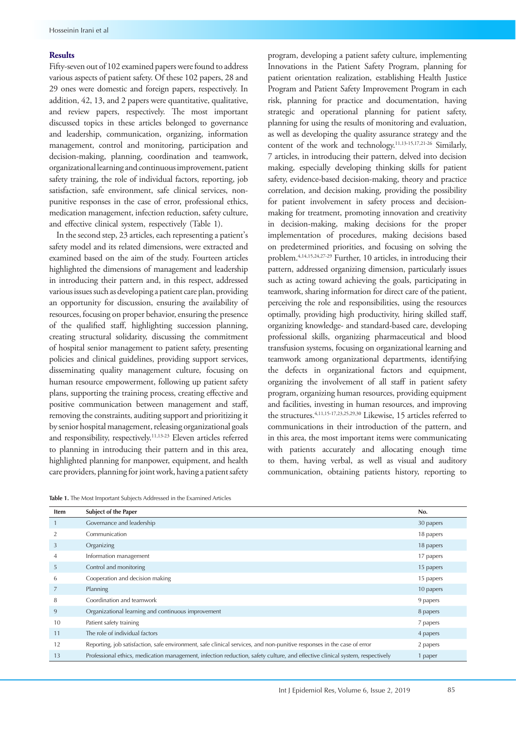#### **Results**

Fifty-seven out of 102 examined papers were found to address various aspects of patient safety. Of these 102 papers, 28 and 29 ones were domestic and foreign papers, respectively. In addition, 42, 13, and 2 papers were quantitative, qualitative, and review papers, respectively. The most important discussed topics in these articles belonged to governance and leadership, communication, organizing, information management, control and monitoring, participation and decision-making, planning, coordination and teamwork, organizational learning and continuous improvement, patient safety training, the role of individual factors, reporting, job satisfaction, safe environment, safe clinical services, nonpunitive responses in the case of error, professional ethics, medication management, infection reduction, safety culture, and effective clinical system, respectively (Table 1).

In the second step, 23 articles, each representing a patient's safety model and its related dimensions, were extracted and examined based on the aim of the study. Fourteen articles highlighted the dimensions of management and leadership in introducing their pattern and, in this respect, addressed various issues such as developing a patient care plan, providing an opportunity for discussion, ensuring the availability of resources, focusing on proper behavior, ensuring the presence of the qualified staff, highlighting succession planning, creating structural solidarity, discussing the commitment of hospital senior management to patient safety, presenting policies and clinical guidelines, providing support services, disseminating quality management culture, focusing on human resource empowerment, following up patient safety plans, supporting the training process, creating effective and positive communication between management and staff, removing the constraints, auditing support and prioritizing it by senior hospital management, releasing organizational goals and responsibility, respectively.<sup>11,13-23</sup> Eleven articles referred to planning in introducing their pattern and in this area, highlighted planning for manpower, equipment, and health care providers, planning for joint work, having a patient safety

program, developing a patient safety culture, implementing Innovations in the Patient Safety Program, planning for patient orientation realization, establishing Health Justice Program and Patient Safety Improvement Program in each risk, planning for practice and documentation, having strategic and operational planning for patient safety, planning for using the results of monitoring and evaluation, as well as developing the quality assurance strategy and the content of the work and technology.11,13-15,17,21-26 Similarly, 7 articles, in introducing their pattern, delved into decision making, especially developing thinking skills for patient safety, evidence-based decision-making, theory and practice correlation, and decision making, providing the possibility for patient involvement in safety process and decisionmaking for treatment, promoting innovation and creativity in decision-making, making decisions for the proper implementation of procedures, making decisions based on predetermined priorities, and focusing on solving the problem.4,14,15,24,27-29 Further, 10 articles, in introducing their pattern, addressed organizing dimension, particularly issues such as acting toward achieving the goals, participating in teamwork, sharing information for direct care of the patient, perceiving the role and responsibilities, using the resources optimally, providing high productivity, hiring skilled staff, organizing knowledge- and standard-based care, developing professional skills, organizing pharmaceutical and blood transfusion systems, focusing on organizational learning and teamwork among organizational departments, identifying the defects in organizational factors and equipment, organizing the involvement of all staff in patient safety program, organizing human resources, providing equipment and facilities, investing in human resources, and improving the structures.4,11,15-17,23,25,29,30 Likewise, 15 articles referred to communications in their introduction of the pattern, and in this area, the most important items were communicating with patients accurately and allocating enough time to them, having verbal, as well as visual and auditory communication, obtaining patients history, reporting to

**Table 1.** The Most Important Subjects Addressed in the Examined Articles

| <b>Item</b> | <b>Subject of the Paper</b>                                                                                                  | No.       |
|-------------|------------------------------------------------------------------------------------------------------------------------------|-----------|
|             | Governance and leadership                                                                                                    | 30 papers |
|             | Communication                                                                                                                | 18 papers |
| 3           | Organizing                                                                                                                   | 18 papers |
| 4           | Information management                                                                                                       | 17 papers |
| 5           | Control and monitoring                                                                                                       | 15 papers |
| 6           | Cooperation and decision making                                                                                              | 15 papers |
| 7           | Planning                                                                                                                     | 10 papers |
| 8           | Coordination and teamwork                                                                                                    | 9 papers  |
| 9           | Organizational learning and continuous improvement                                                                           | 8 papers  |
| 10          | Patient safety training                                                                                                      | 7 papers  |
| 11          | The role of individual factors                                                                                               | 4 papers  |
| 12          | Reporting, job satisfaction, safe environment, safe clinical services, and non-punitive responses in the case of error       | 2 papers  |
| 13          | Professional ethics, medication management, infection reduction, safety culture, and effective clinical system, respectively | 1 paper   |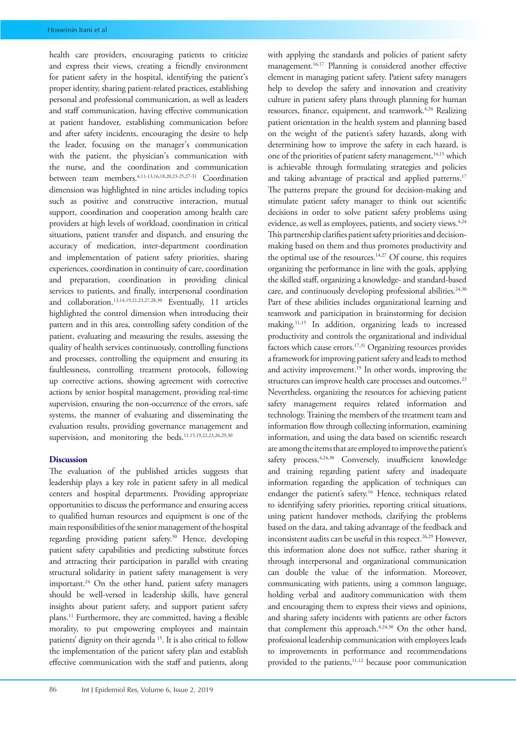health care providers, encouraging patients to criticize and express their views, creating a friendly environment for patient safety in the hospital, identifying the patient's proper identity, sharing patient-related practices, establishing personal and professional communication, as well as leaders and staff communication, having effective communication at patient handover, establishing communication before and after safety incidents, encouraging the desire to help the leader, focusing on the manager's communication with the patient, the physician's communication with the nurse, and the coordination and communication between team members.4,11-13,16,18,20,23-25,27-31 Coordination dimension was highlighted in nine articles including topics such as positive and constructive interaction, mutual support, coordination and cooperation among health care providers at high levels of workload, coordination in critical situations, patient transfer and dispatch, and ensuring the accuracy of medication, inter-department coordination and implementation of patient safety priorities, sharing experiences, coordination in continuity of care, coordination and preparation, coordination in providing clinical services to patients, and finally, interpersonal coordination and collaboration.13,14,19,21,23,27,28,30 Eventually, 11 articles highlighted the control dimension when introducing their pattern and in this area, controlling safety condition of the patient, evaluating and measuring the results, assessing the quality of health services continuously, controlling functions and processes, controlling the equipment and ensuring its faultlessness, controlling treatment protocols, following up corrective actions, showing agreement with corrective actions by senior hospital management, providing real-time supervision, ensuring the non-occurrence of the errors, safe systems, the manner of evaluating and disseminating the evaluation results, providing governance management and supervision, and monitoring the beds.11,15,19,22,23,26,29,30

#### **Discussion**

The evaluation of the published articles suggests that leadership plays a key role in patient safety in all medical centers and hospital departments. Providing appropriate opportunities to discuss the performance and ensuring access to qualified human resources and equipment is one of the main responsibilities of the senior management of the hospital regarding providing patient safety.30 Hence, developing patient safety capabilities and predicting substitute forces and attracting their participation in parallel with creating structural solidarity in patient safety management is very important.<sup>24</sup> On the other hand, patient safety managers should be well-versed in leadership skills, have general insights about patient safety, and support patient safety plans.11 Furthermore, they are committed, having a flexible morality, to put empowering employees and maintain patients' dignity on their agenda 15. It is also critical to follow the implementation of the patient safety plan and establish effective communication with the staff and patients, along with applying the standards and policies of patient safety management.<sup>16,17</sup> Planning is considered another effective element in managing patient safety. Patient safety managers help to develop the safety and innovation and creativity culture in patient safety plans through planning for human resources, finance, equipment, and teamwork.<sup>4,24</sup> Realizing patient orientation in the health system and planning based on the weight of the patient's safety hazards, along with determining how to improve the safety in each hazard, is one of the priorities of patient safety management,<sup>14,15</sup> which is achievable through formulating strategies and policies and taking advantage of practical and applied patterns.<sup>17</sup> The patterns prepare the ground for decision-making and stimulate patient safety manager to think out scientific decisions in order to solve patient safety problems using evidence, as well as employees, patients, and society views.<sup>4,24</sup> This partnership clarifies patient safety priorities and decisionmaking based on them and thus promotes productivity and the optimal use of the resources.<sup>14,27</sup> Of course, this requires organizing the performance in line with the goals, applying the skilled staff, organizing a knowledge- and standard-based care, and continuously developing professional abilities.<sup>24,30</sup> Part of these abilities includes organizational learning and teamwork and participation in brainstorming for decision making.11,15 In addition, organizing leads to increased productivity and controls the organizational and individual factors which cause errors.<sup>17,31</sup> Organizing resources provides a framework for improving patient safety and leads to method and activity improvement.<sup>19</sup> In other words, improving the structures can improve health care processes and outcomes.<sup>23</sup> Nevertheless, organizing the resources for achieving patient safety management requires related information and technology. Training the members of the treatment team and information flow through collecting information, examining information, and using the data based on scientific research are among the items that are employed to improve the patient's safety process.<sup>4,24,30</sup> Conversely, insufficient knowledge and training regarding patient safety and inadequate information regarding the application of techniques can endanger the patient's safety.<sup>16</sup> Hence, techniques related to identifying safety priorities, reporting critical situations, using patient handover methods, clarifying the problems based on the data, and taking advantage of the feedback and inconsistent audits can be useful in this respect.<sup>26,29</sup> However, this information alone does not suffice, rather sharing it through interpersonal and organizational communication can double the value of the information. Moreover, communicating with patients, using a common language, holding verbal and auditory communication with them and encouraging them to express their views and opinions, and sharing safety incidents with patients are other factors that complement this approach. $4,24,30$  On the other hand, professional leadership communication with employees leads to improvements in performance and recommendations provided to the patients,<sup>11,12</sup> because poor communication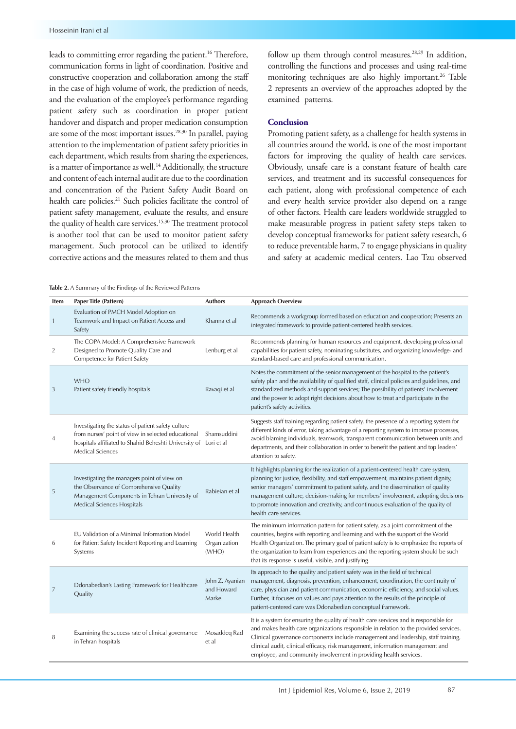leads to committing error regarding the patient.16 Therefore, communication forms in light of coordination. Positive and constructive cooperation and collaboration among the staff in the case of high volume of work, the prediction of needs, and the evaluation of the employee's performance regarding patient safety such as coordination in proper patient handover and dispatch and proper medication consumption are some of the most important issues.<sup>28,30</sup> In parallel, paying attention to the implementation of patient safety priorities in each department, which results from sharing the experiences, is a matter of importance as well.<sup>14</sup> Additionally, the structure and content of each internal audit are due to the coordination and concentration of the Patient Safety Audit Board on health care policies.<sup>21</sup> Such policies facilitate the control of patient safety management, evaluate the results, and ensure the quality of health care services.15,30 The treatment protocol is another tool that can be used to monitor patient safety management. Such protocol can be utilized to identify corrective actions and the measures related to them and thus follow up them through control measures.<sup>28,29</sup> In addition, controlling the functions and processes and using real-time monitoring techniques are also highly important.<sup>26</sup> Table 2 represents an overview of the approaches adopted by the examined patterns.

#### **Conclusion**

Promoting patient safety, as a challenge for health systems in all countries around the world, is one of the most important factors for improving the quality of health care services. Obviously, unsafe care is a constant feature of health care services, and treatment and its successful consequences for each patient, along with professional competence of each and every health service provider also depend on a range of other factors. Health care leaders worldwide struggled to make measurable progress in patient safety steps taken to develop conceptual frameworks for patient safety research, 6 to reduce preventable harm, 7 to engage physicians in quality and safety at academic medical centers. Lao Tzu observed

**Table 2.** A Summary of the Findings of the Reviewed Patterns

| Item | Paper Title (Pattern)                                                                                                                                                                                   | <b>Authors</b>                          | <b>Approach Overview</b>                                                                                                                                                                                                                                                                                                                                                                                                                                          |
|------|---------------------------------------------------------------------------------------------------------------------------------------------------------------------------------------------------------|-----------------------------------------|-------------------------------------------------------------------------------------------------------------------------------------------------------------------------------------------------------------------------------------------------------------------------------------------------------------------------------------------------------------------------------------------------------------------------------------------------------------------|
| 1    | Evaluation of PMCH Model Adoption on<br>Teamwork and Impact on Patient Access and<br>Safety                                                                                                             | Khanna et al                            | Recommends a workgroup formed based on education and cooperation; Presents an<br>integrated framework to provide patient-centered health services.                                                                                                                                                                                                                                                                                                                |
| 2    | The COPA Model: A Comprehensive Framework<br>Designed to Promote Quality Care and<br>Competence for Patient Safety                                                                                      | Lenburg et al                           | Recommends planning for human resources and equipment, developing professional<br>capabilities for patient safety, nominating substitutes, and organizing knowledge- and<br>standard-based care and professional communication.                                                                                                                                                                                                                                   |
| 3    | <b>WHO</b><br>Patient safety friendly hospitals                                                                                                                                                         | Ravagi et al                            | Notes the commitment of the senior management of the hospital to the patient's<br>safety plan and the availability of qualified staff, clinical policies and guidelines, and<br>standardized methods and support services; The possibility of patients' involvement<br>and the power to adopt right decisions about how to treat and participate in the<br>patient's safety activities.                                                                           |
|      | Investigating the status of patient safety culture<br>from nurses' point of view in selected educational<br>hospitals affiliated to Shahid Beheshti University of Lori et al<br><b>Medical Sciences</b> | Shamsuddini                             | Suggests staff training regarding patient safety, the presence of a reporting system for<br>different kinds of error, taking advantage of a reporting system to improve processes,<br>avoid blaming individuals, teamwork, transparent communication between units and<br>departments, and their collaboration in order to benefit the patient and top leaders'<br>attention to safety.                                                                           |
| 5    | Investigating the managers point of view on<br>the Observance of Comprehensive Quality<br>Management Components in Tehran University of<br>Medical Sciences Hospitals                                   | Rabieian et al                          | It highlights planning for the realization of a patient-centered health care system,<br>planning for justice, flexibility, and staff empowerment, maintains patient dignity,<br>senior managers' commitment to patient safety, and the dissemination of quality<br>management culture, decision-making for members' involvement, adopting decisions<br>to promote innovation and creativity, and continuous evaluation of the quality of<br>health care services. |
| 6    | EU Validation of a Minimal Information Model<br>for Patient Safety Incident Reporting and Learning<br>Systems                                                                                           | World Health<br>Organization<br>(WHO)   | The minimum information pattern for patient safety, as a joint commitment of the<br>countries, begins with reporting and learning and with the support of the World<br>Health Organization. The primary goal of patient safety is to emphasize the reports of<br>the organization to learn from experiences and the reporting system should be such<br>that its response is useful, visible, and justifying.                                                      |
| 7    | Ddonabedian's Lasting Framework for Healthcare<br>Quality                                                                                                                                               | John Z. Ayanian<br>and Howard<br>Markel | Its approach to the quality and patient safety was in the field of technical<br>management, diagnosis, prevention, enhancement, coordination, the continuity of<br>care, physician and patient communication, economic efficiency, and social values.<br>Further, it focuses on values and pays attention to the results of the principle of<br>patient-centered care was Ddonabedian conceptual framework.                                                       |
| 8    | Examining the success rate of clinical governance<br>in Tehran hospitals                                                                                                                                | Mosaddeg Rad<br>et al                   | It is a system for ensuring the quality of health care services and is responsible for<br>and makes health care organizations responsible in relation to the provided services.<br>Clinical governance components include management and leadership, staff training,<br>clinical audit, clinical efficacy, risk management, information management and<br>employee, and community involvement in providing health services.                                       |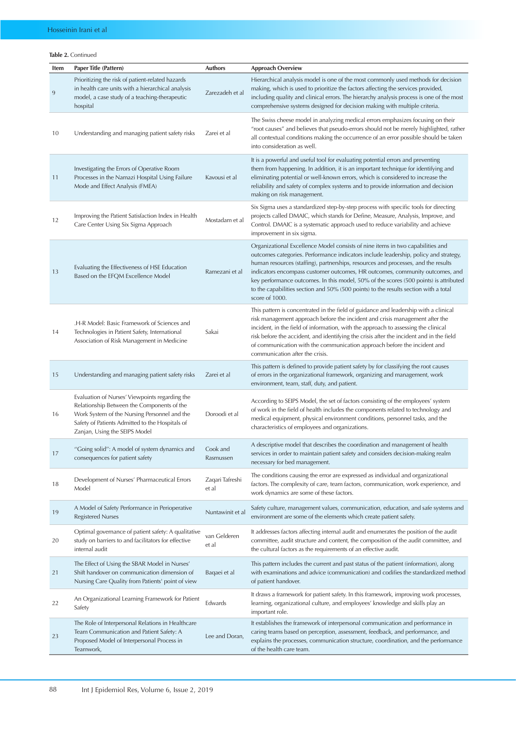## **Table 2.** Continued

| Item | Paper Title (Pattern)                                                                                                                                                                                                            | <b>Authors</b>           | <b>Approach Overview</b>                                                                                                                                                                                                                                                                                                                                                                                                                                                                                                                        |
|------|----------------------------------------------------------------------------------------------------------------------------------------------------------------------------------------------------------------------------------|--------------------------|-------------------------------------------------------------------------------------------------------------------------------------------------------------------------------------------------------------------------------------------------------------------------------------------------------------------------------------------------------------------------------------------------------------------------------------------------------------------------------------------------------------------------------------------------|
| 9    | Prioritizing the risk of patient-related hazards<br>in health care units with a hierarchical analysis<br>model, a case study of a teaching-therapeutic<br>hospital                                                               | Zarezadeh et al          | Hierarchical analysis model is one of the most commonly used methods for decision<br>making, which is used to prioritize the factors affecting the services provided,<br>including quality and clinical errors. The hierarchy analysis process is one of the most<br>comprehensive systems designed for decision making with multiple criteria.                                                                                                                                                                                                 |
| 10   | Understanding and managing patient safety risks                                                                                                                                                                                  | Zarei et al              | The Swiss cheese model in analyzing medical errors emphasizes focusing on their<br>"root causes" and believes that pseudo-errors should not be merely highlighted, rather<br>all contextual conditions making the occurrence of an error possible should be taken<br>into consideration as well.                                                                                                                                                                                                                                                |
| 11   | Investigating the Errors of Operative Room<br>Processes in the Namazi Hospital Using Failure<br>Mode and Effect Analysis (FMEA)                                                                                                  | Kavousi et al            | It is a powerful and useful tool for evaluating potential errors and preventing<br>them from happening. In addition, it is an important technique for identifying and<br>eliminating potential or well-known errors, which is considered to increase the<br>reliability and safety of complex systems and to provide information and decision<br>making on risk management.                                                                                                                                                                     |
| 12   | Improving the Patient Satisfaction Index in Health<br>Care Center Using Six Sigma Approach                                                                                                                                       | Mostadam et al           | Six Sigma uses a standardized step-by-step process with specific tools for directing<br>projects called DMAIC, which stands for Define, Measure, Analysis, Improve, and<br>Control. DMAIC is a systematic approach used to reduce variability and achieve<br>improvement in six sigma.                                                                                                                                                                                                                                                          |
| 13   | Evaluating the Effectiveness of HSE Education<br>Based on the EFQM Excellence Model                                                                                                                                              | Ramezani et al           | Organizational Excellence Model consists of nine items in two capabilities and<br>outcomes categories. Performance indicators include leadership, policy and strategy,<br>human resources (staffing), partnerships, resources and processes, and the results<br>indicators encompass customer outcomes, HR outcomes, community outcomes, and<br>key performance outcomes. In this model, 50% of the scores (500 points) is attributed<br>to the capabilities section and 50% (500 points) to the results section with a total<br>score of 1000. |
| 14   | .H-R Model: Basic Framework of Sciences and<br>Technologies in Patient Safety, International<br>Association of Risk Management in Medicine                                                                                       | Sakai                    | This pattern is concentrated in the field of guidance and leadership with a clinical<br>risk management approach before the incident and crisis management after the<br>incident, in the field of information, with the approach to assessing the clinical<br>risk before the accident, and identifying the crisis after the incident and in the field<br>of communication with the communication approach before the incident and<br>communication after the crisis.                                                                           |
| 15   | Understanding and managing patient safety risks                                                                                                                                                                                  | Zarei et al              | This pattern is defined to provide patient safety by for classifying the root causes<br>of errors in the organizational framework, organizing and management, work<br>environment, team, staff, duty, and patient.                                                                                                                                                                                                                                                                                                                              |
| 16   | Evaluation of Nurses' Viewpoints regarding the<br>Relationship Between the Components of the<br>Work System of the Nursing Personnel and the<br>Safety of Patients Admitted to the Hospitals of<br>Zanjan, Using the SEIPS Model | Doroodi et al            | According to SEIPS Model, the set of factors consisting of the employees' system<br>of work in the field of health includes the components related to technology and<br>medical equipment, physical environment conditions, personnel tasks, and the<br>characteristics of employees and organizations.                                                                                                                                                                                                                                         |
| 17   | "Going solid": A model of system dynamics and<br>consequences for patient safety                                                                                                                                                 | Cook and<br>Rasmussen    | A descriptive model that describes the coordination and management of health<br>services in order to maintain patient safety and considers decision-making realm<br>necessary for bed management.                                                                                                                                                                                                                                                                                                                                               |
| 18   | Development of Nurses' Pharmaceutical Errors<br>Model                                                                                                                                                                            | Zaqari Tafreshi<br>et al | The conditions causing the error are expressed as individual and organizational<br>factors. The complexity of care, team factors, communication, work experience, and<br>work dynamics are some of these factors.                                                                                                                                                                                                                                                                                                                               |
| 19   | A Model of Safety Performance in Perioperative<br><b>Registered Nurses</b>                                                                                                                                                       | Nuntawinit et al         | Safety culture, management values, communication, education, and safe systems and<br>environment are some of the elements which create patient safety.                                                                                                                                                                                                                                                                                                                                                                                          |
| 20   | Optimal governance of patient safety: A qualitative<br>study on barriers to and facilitators for effective<br>internal audit                                                                                                     | van Gelderen<br>et al    | It addresses factors affecting internal audit and enumerates the position of the audit<br>committee, audit structure and content, the composition of the audit committee, and<br>the cultural factors as the requirements of an effective audit.                                                                                                                                                                                                                                                                                                |
| 21   | The Effect of Using the SBAR Model in Nurses'<br>Shift handover on communication dimension of<br>Nursing Care Quality from Patients' point of view                                                                               | Baqaei et al             | This pattern includes the current and past status of the patient (information), along<br>with examinations and advice (communication) and codifies the standardized method<br>of patient handover.                                                                                                                                                                                                                                                                                                                                              |
| 22   | An Organizational Learning Framework for Patient<br>Safety                                                                                                                                                                       | Edwards                  | It draws a framework for patient safety. In this framework, improving work processes,<br>learning, organizational culture, and employees' knowledge and skills play an<br>important role.                                                                                                                                                                                                                                                                                                                                                       |
| 23   | The Role of Interpersonal Relations in Healthcare<br>Team Communication and Patient Safety: A<br>Proposed Model of Interpersonal Process in<br>Teamwork,                                                                         | Lee and Doran,           | It establishes the framework of interpersonal communication and performance in<br>caring teams based on perception, assessment, feedback, and performance, and<br>explains the processes, communication structure, coordination, and the performance<br>of the health care team.                                                                                                                                                                                                                                                                |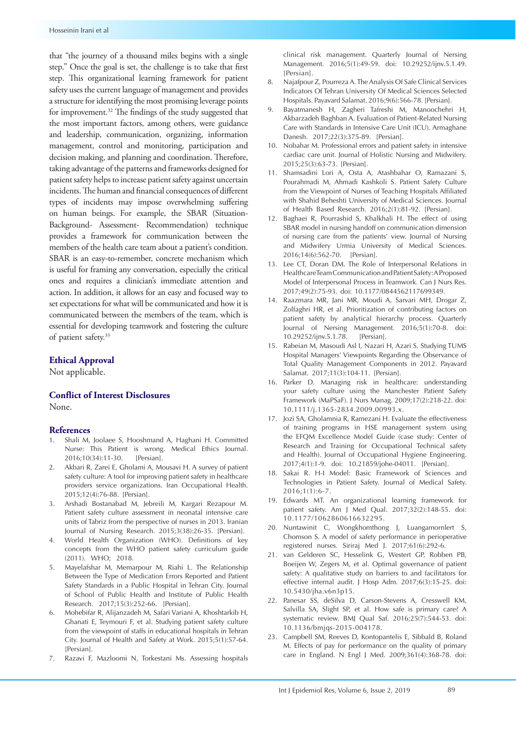that "the journey of a thousand miles begins with a single step." Once the goal is set, the challenge is to take that first step. This organizational learning framework for patient safety uses the current language of management and provides a structure for identifying the most promising leverage points for improvement.32 The findings of the study suggested that the most important factors, among others, were guidance and leadership, communication, organizing, information management, control and monitoring, participation and decision making, and planning and coordination. Therefore, taking advantage of the patterns and frameworks designed for patient safety helps to increase patient safety against uncertain incidents. The human and financial consequences of different types of incidents may impose overwhelming suffering on human beings. For example, the SBAR (Situation-Background- Assessment- Recommendation) technique provides a framework for communication between the members of the health care team about a patient's condition. SBAR is an easy-to-remember, concrete mechanism which is useful for framing any conversation, especially the critical ones and requires a clinician's immediate attention and action. In addition, it allows for an easy and focused way to set expectations for what will be communicated and how it is communicated between the members of the team, which is essential for developing teamwork and fostering the culture of patient safety.33

#### **Ethical Approval**

Not applicable.

### **Conflict of Interest Disclosures**

None.

#### **References**

- 1. Shali M, Joolaee S, Hooshmand A, Haghani H. Committed Nurse: This Patient is wrong. Medical Ethics Journal. 2016;10(34):11-30. [Persian].
- 2. Akbari R, Zarei E, Gholami A, Mousavi H. A survey of patient safety culture: A tool for improving patient safety in healthcare providers service organizations. Iran Occupational Health. 2015;12(4):76-88. [Persian].
- 3. Arshadi Bostanabad M, Jebreili M, Kargari Rezapour M. Patient safety culture assessment in neonatal intensive care units of Tabriz from the perspective of nurses in 2013. Iranian Journal of Nursing Research. 2015;3(38):26-35. [Persian].
- 4. World Health Organization (WHO). Definitions of key concepts from the WHO patient safety curriculum guide (2011). WHO; 2018.
- 5. Mayelafshar M, Memarpour M, Riahi L. The Relationship Between the Type of Medication Errors Reported and Patient Safety Standards in a Public Hospital in Tehran City. Journal of School of Public Health and Institute of Public Health Research. 2017;15(3):252-66. [Persian].
- 6. Mohebifar R, Alijanzadeh M, Safari Variani A, Khoshtarkib H, Ghanati E, Teymouri F, et al. Studying patient safety culture from the viewpoint of staffs in educational hospitals in Tehran City. Journal of Health and Safety at Work. 2015;5(1):57-64. [Persian].
- 7. Razavi F, Mazloomi N, Torkestani Ms. Assessing hospitals

clinical risk management. Quarterly Journal of Nersing Management. 2016;5(1):49-59. doi: 10.29252/ijnv.5.1.49. [Persian].

- 8. Najafpour Z, Pourreza A. The Analysis Of Safe Clinical Services Indicators Of Tehran University Of Medical Sciences Selected Hospitals. Payavard Salamat. 2016;9(6):566-78. [Persian].
- 9. Bayatmanesh H, Zagheri Tafreshi M, Manoochehri H, Akbarzadeh Baghban A. Evaluation of Patient-Related Nursing Care with Standards in Intensive Care Unit (ICU). Armaghane Danesh. 2017;22(3):375-89. [Persian].
- 10. Nobahar M. Professional errors and patient safety in intensive cardiac care unit. Journal of Holistic Nursing and Midwifery. 2015;25(3):63-73. [Persian].
- 11. Shamsadini Lori A, Osta A, Atashbahar O, Ramazani S, Pourahmadi M, Ahmadi Kashkoli S. Patient Safety Culture from the Viewpoint of Nurses of Teaching Hospitals Affiliated with Shahid Beheshti University of Medical Sciences. Journal of Health Based Research. 2016;2(1):81-92. [Persian].
- 12. Baghaei R, Pourrashid S, Khalkhali H. The effect of using SBAR model in nursing handoff on communication dimension of nursing care from the patients' view. Journal of Nursing and Midwifery Urmia University of Medical Sciences. 2016;14(6):562-70. [Persian].
- 13. Lee CT, Doran DM. The Role of Interpersonal Relations in Healthcare Team Communication and Patient Safety: A Proposed Model of Interpersonal Process in Teamwork. Can J Nurs Res. 2017;49(2):75-93. doi: 10.1177/0844562117699349.
- 14. Raazmara MR, Jani MR, Moudi A, Sarvari MH, Drogar Z, Zolfaghri HR, et al. Prioritization of contributing factors on patient safety by analytical hierarchy process. Quarterly Journal of Nersing Management. 2016;5(1):70-8. doi: 10.29252/ijnv.5.1.78. [Persian].
- 15. Rabeian M, Masoudi Asl I, Nazari H, Azari S. Studying TUMS Hospital Managers' Viewpoints Regarding the Observance of Total Quality Management Components in 2012. Payavard Salamat. 2017;11(3):104-11. [Persian].
- 16. Parker D. Managing risk in healthcare: understanding your safety culture using the Manchester Patient Safety Framework (MaPSaF). J Nurs Manag. 2009;17(2):218-22. doi: 10.1111/j.1365-2834.2009.00993.x.
- 17. Jozi SA, Gholamnia R, Ramezani H. Evaluate the effectiveness of training programs in HSE management system using the EFQM Excellence Model Guide (case study: Center of Research and Training for Occupational Technical safety and Health). Journal of Occupational Hygiene Engineering. 2017;4(1):1-9. doi: 10.21859/johe-04011. [Persian].
- 18. Sakai R. H-I Model: Basic Framework of Sciences and Technologies in Patient Safety. Journal of Medical Safety. 2016;1(1):6-7.
- 19. Edwards MT. An organizational learning framework for patient safety. Am J Med Qual. 2017;32(2):148-55. doi: 10.1177/1062860616632295.
- 20. Nuntawinit C. Wongkhomthong J. Luangamornlert S. Chomson S. A model of safety performance in perioperative registered nurses. Siriraj Med J. 2017;61(6):292-6.
- 21. van Gelderen SC, Hesselink G, Westert GP, Robben PB, Boeijen W, Zegers M, et al. Optimal governance of patient safety: A qualitative study on barriers to and facilitators for effective internal audit. J Hosp Adm. 2017;6(3):15-25. doi: 10.5430/jha.v6n3p15.
- 22. Panesar SS, deSilva D, Carson-Stevens A, Cresswell KM, Salvilla SA, Slight SP, et al. How safe is primary care? A systematic review. BMJ Qual Saf. 2016;25(7):544-53. doi: 10.1136/bmjqs-2015-004178.
- 23. Campbell SM, Reeves D, Kontopantelis E, Sibbald B, Roland M. Effects of pay for performance on the quality of primary care in England. N Engl J Med. 2009;361(4):368-78. doi: